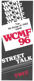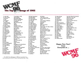

1. Joan Jett 1 Love Rock n' Roll<br>2. John Cougar Jack & Diane 2. John Cougar 3. Survivor Eye Of The Tiger 5. Scorpions No One Like You 6. J. Geils Centerfold<br>7. Men At Work Who Can It 8. Fleetwood Mac Gypsy<br>9. Genesis Abacab 9. Genesis 10. Duke Jupiter I'll Drink To You<br>11. Sammy Hagar I'll Fall In Love A 12. Loverboy Lucky Ones 13. Asia Sole Survivor<br>14. Aldo Nova Fantasy 14. Aldo Nova 15. .38 Special Caught Up In You 16. John Cougar Hurts So Good 19. Cars Since You've Gone 20. Fleetwood Mac Hold Me 22. Saga On The Loose 23. Toto Rosanna ·24. Asia Only Time Will Tell 25. Who Athena 26. Van Halen Pretty Woman 27. Flock Of Seagulls I Ran 29. Eddie Money I Think I'm In Love 30.CSN Southern Cross 32. Genesis Man On The Corner 33. Stray Cats Rock This Town 35. Human League Don't You Want Me 37. Bryan Adams Lonely Nights

**Heat Of The Moment** Who Can It Be Now I'll Fall In Love Again 17. Billy Squier Everybody Wants You<br>18. Genesis You Might Recall You Might Recall 21. Police Every Little Thing She Does 28. Def Leppard Bringing On The Heartbreak 31. Loverboy Workin' For The Weekend 34. Prism Don't Let Him Know 36. Judas Priest You Got Another Thing Comin'

38. Pete Townshend 39. Billy Squier 40. Huey Lewis 41. John Hall Band 42. Nazareth 43. J. Geils 44. Genesis 45. Eddie Money 46. Steve Winwood 47. Tommy Tutone 48. Sammy Hagar 49. Men At Work 50. Roger Daltrey 51. .38 Special 52. Kansas 53. Joe Jackson 54. Loverboy 55. Soft Cell 56. Police 57. Bad Company 58. Shooting Star 59. Jon Anderson 60. Rolling Stones 61. Elton John 62. Clash 63. Van Halen 64.805 65. Rush 66. Joan Jett 67. Steve Winwood 68. Franke & T. Knockouts 69. Pat Benatar 70. LeRoux 71. Toronto 72. Sherbs 73. Tom Petty 74. Gamma

Learn How To Live Do You Believe In Love Crazy Love Leads To Madness Freeze Frame Paperlate Shakin' Still In The Game 867·5309 There's Only One Way To Rock Down Under Say It Ain't So, Joe You Keep Runnin' Away Play The Game Tonight Steppin' Out When It's Over Tainted Love Spirits In The Material World Electricland Breakout All In A Matter Of Time Goin' To A Go Go Empty Garden Rock The Casbah Dancin' In The Street Young Boys New World Man Crimson & Clover Valerie You Never Had It Better Shadows Of The Night Addicted Your Daddy Don't Know We Ride Tonight You Got Lucky Right The First Time

Slit Skirts

75. Steel Breeze 76. Loverboy 77. Go Go's 78. Don Henley 79. Uriah Heep 80. Cars 81. Pete Townshend 82. Charlie Daniels Band 83. Journey 84. Frank Zappa 85. David Johansen 86. Robert Plant 87. Loggins/Perry 88. Scorpions 89. Billy Joel 90. Buxx 91. Motels 92. April Wine 93. Greg Kihn 94. Steve Miller 95. Spys 96. Sammy Hagar

You Don't Want Me Anymore Take Me To The Top We Got The Beat Dirty Laundry That's The Way That It Is Shake It Up Stardom In Action Still In Saigon Still They Ride Valley Girl Animals Medley Burning Down One Side Don't Fight It You Give Me All I Need Pressure Can't Say No Only The Lonely Enough Is Enough Testify Abracadabra Don't Run My Life Fast Times ...

**Happy New Year! from Everyone at** ...



The WCMF Top 96 Songs of 1982 was compiled from votes submitted by WCMF listeners during December, 1982.